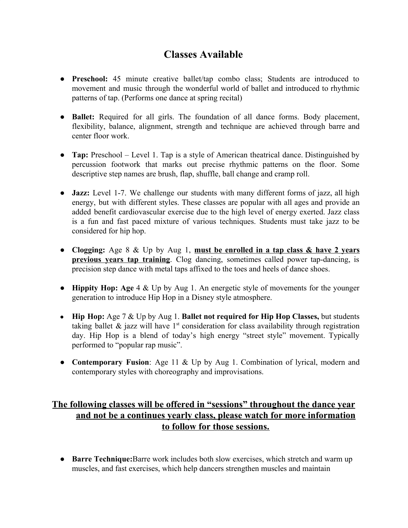## **Classes Available**

- **Preschool:** 45 minute creative ballet/tap combo class; Students are introduced to movement and music through the wonderful world of ballet and introduced to rhythmic patterns of tap. (Performs one dance at spring recital)
- **Ballet:** Required for all girls. The foundation of all dance forms. Body placement, flexibility, balance, alignment, strength and technique are achieved through barre and center floor work.
- **Tap:** Preschool Level 1. Tap is a style of American theatrical dance. Distinguished by percussion footwork that marks out precise rhythmic patterns on the floor. Some descriptive step names are brush, flap, shuffle, ball change and cramp roll.
- **Jazz:** Level 1-7. We challenge our students with many different forms of jazz, all high energy, but with different styles. These classes are popular with all ages and provide an added benefit cardiovascular exercise due to the high level of energy exerted. Jazz class is a fun and fast paced mixture of various techniques. Students must take jazz to be considered for hip hop.
- **Clogging:** Age 8 & Up by Aug 1, **must be enrolled in a tap class & have 2 years previous years tap training**. Clog dancing, sometimes called power tap-dancing, is precision step dance with metal taps affixed to the toes and heels of dance shoes.
- **Hippity Hop: Age** 4 & Up by Aug 1. An energetic style of movements for the younger generation to introduce Hip Hop in a Disney style atmosphere.
- **Hip Hop:** Age 7 & Up by Aug 1. **Ballet not required for Hip Hop Classes,** but students taking ballet  $\&$  jazz will have  $1<sup>st</sup>$  consideration for class availability through registration day. Hip Hop is a blend of today's high energy "street style" movement. Typically performed to "popular rap music".
- **Contemporary Fusion**: Age 11 & Up by Aug 1. Combination of lyrical, modern and contemporary styles with choreography and improvisations.

## **The following classes will be offered in "sessions" throughout the dance year and not be a continues yearly class, please watch for more information to follow for those sessions.**

● **Barre Technique:**Barre work includes both slow exercises, which stretch and warm up muscles, and fast exercises, which help dancers strengthen muscles and maintain